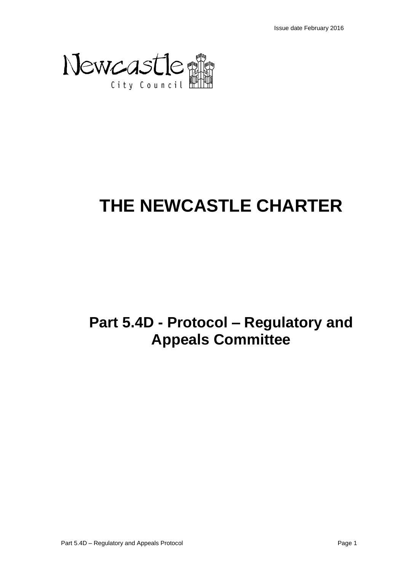

# **THE NEWCASTLE CHARTER**

## **Part 5.4D - Protocol – Regulatory and Appeals Committee**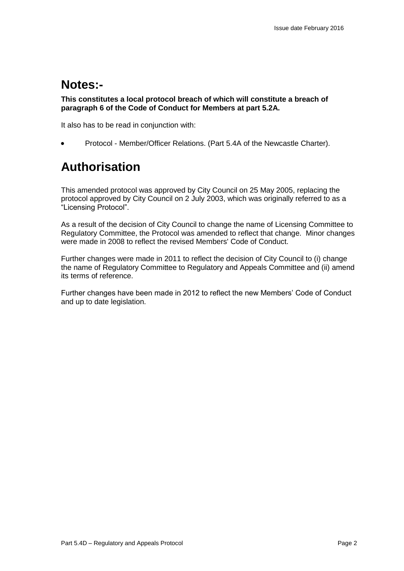## **Notes:-**

**This constitutes a local protocol breach of which will constitute a breach of paragraph 6 of the Code of Conduct for Members at part 5.2A.**

It also has to be read in conjunction with:

Protocol - Member/Officer Relations. (Part 5.4A of the Newcastle Charter).

## **Authorisation**

This amended protocol was approved by City Council on 25 May 2005, replacing the protocol approved by City Council on 2 July 2003, which was originally referred to as a "Licensing Protocol".

As a result of the decision of City Council to change the name of Licensing Committee to Regulatory Committee, the Protocol was amended to reflect that change. Minor changes were made in 2008 to reflect the revised Members' Code of Conduct.

Further changes were made in 2011 to reflect the decision of City Council to (i) change the name of Regulatory Committee to Regulatory and Appeals Committee and (ii) amend its terms of reference.

Further changes have been made in 2012 to reflect the new Members' Code of Conduct and up to date legislation.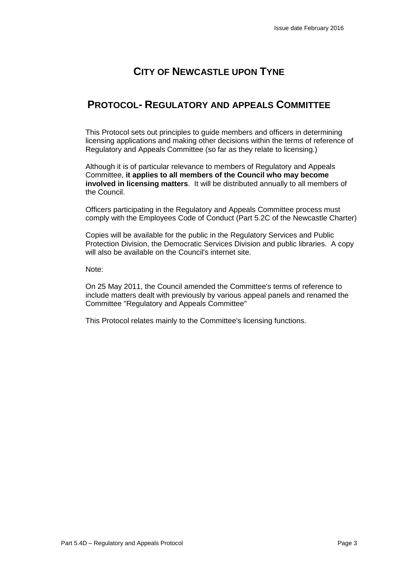## **CITY OF NEWCASTLE UPON TYNE**

## **PROTOCOL- REGULATORY AND APPEALS COMMITTEE**

This Protocol sets out principles to guide members and officers in determining licensing applications and making other decisions within the terms of reference of Regulatory and Appeals Committee (so far as they relate to licensing.)

Although it is of particular relevance to members of Regulatory and Appeals Committee, **it applies to all members of the Council who may become involved in licensing matters**. It will be distributed annually to all members of the Council.

Officers participating in the Regulatory and Appeals Committee process must comply with the Employees Code of Conduct (Part 5.2C of the Newcastle Charter)

Copies will be available for the public in the Regulatory Services and Public Protection Division, the Democratic Services Division and public libraries. A copy will also be available on the Council's internet site.

Note:

On 25 May 2011, the Council amended the Committee's terms of reference to include matters dealt with previously by various appeal panels and renamed the Committee "Regulatory and Appeals Committee"

This Protocol relates mainly to the Committee's licensing functions.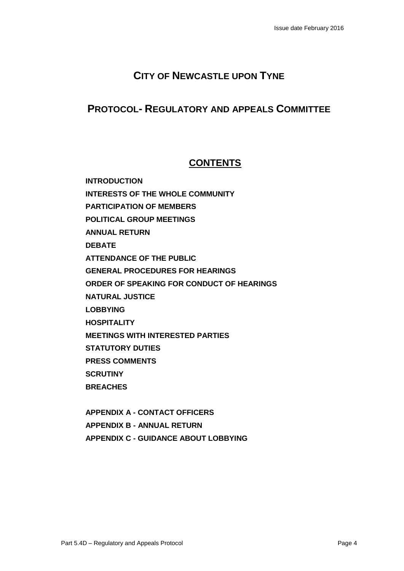## **CITY OF NEWCASTLE UPON TYNE**

### **PROTOCOL- REGULATORY AND APPEALS COMMITTEE**

## **CONTENTS**

**INTRODUCTION INTERESTS OF THE WHOLE COMMUNITY PARTICIPATION OF MEMBERS POLITICAL GROUP MEETINGS ANNUAL RETURN DEBATE ATTENDANCE OF THE PUBLIC GENERAL PROCEDURES FOR HEARINGS ORDER OF SPEAKING FOR CONDUCT OF HEARINGS NATURAL JUSTICE LOBBYING HOSPITALITY MEETINGS WITH INTERESTED PARTIES STATUTORY DUTIES PRESS COMMENTS SCRUTINY BREACHES**

**APPENDIX A - CONTACT OFFICERS APPENDIX B - ANNUAL RETURN APPENDIX C - GUIDANCE ABOUT LOBBYING**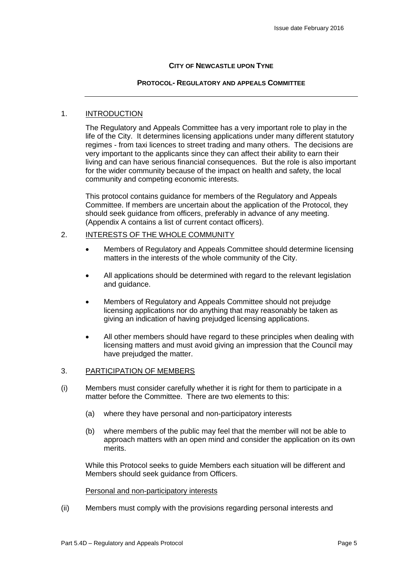#### **CITY OF NEWCASTLE UPON TYNE**

#### **PROTOCOL- REGULATORY AND APPEALS COMMITTEE**

#### 1. INTRODUCTION

The Regulatory and Appeals Committee has a very important role to play in the life of the City. It determines licensing applications under many different statutory regimes - from taxi licences to street trading and many others. The decisions are very important to the applicants since they can affect their ability to earn their living and can have serious financial consequences. But the role is also important for the wider community because of the impact on health and safety, the local community and competing economic interests.

This protocol contains guidance for members of the Regulatory and Appeals Committee. If members are uncertain about the application of the Protocol, they should seek guidance from officers, preferably in advance of any meeting. (Appendix A contains a list of current contact officers).

#### 2. INTERESTS OF THE WHOLE COMMUNITY

- Members of Regulatory and Appeals Committee should determine licensing matters in the interests of the whole community of the City.
- All applications should be determined with regard to the relevant legislation and guidance.
- Members of Regulatory and Appeals Committee should not prejudge licensing applications nor do anything that may reasonably be taken as giving an indication of having prejudged licensing applications.
- All other members should have regard to these principles when dealing with licensing matters and must avoid giving an impression that the Council may have prejudged the matter.

#### 3. PARTICIPATION OF MEMBERS

- (i) Members must consider carefully whether it is right for them to participate in a matter before the Committee. There are two elements to this:
	- (a) where they have personal and non-participatory interests
	- (b) where members of the public may feel that the member will not be able to approach matters with an open mind and consider the application on its own merits.

While this Protocol seeks to guide Members each situation will be different and Members should seek guidance from Officers.

#### Personal and non-participatory interests

(ii) Members must comply with the provisions regarding personal interests and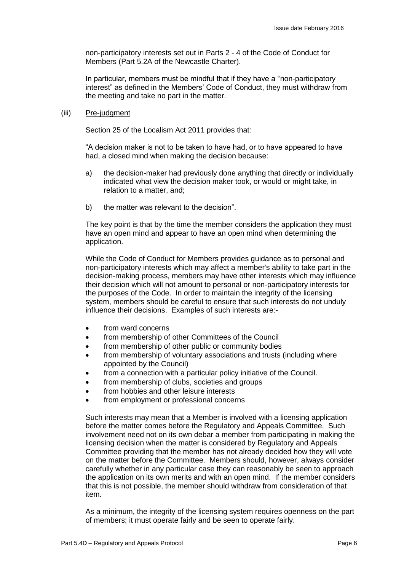non-participatory interests set out in Parts 2 - 4 of the Code of Conduct for Members (Part 5.2A of the Newcastle Charter).

In particular, members must be mindful that if they have a "non-participatory interest" as defined in the Members' Code of Conduct, they must withdraw from the meeting and take no part in the matter.

#### (iii) Pre-judgment

Section 25 of the Localism Act 2011 provides that:

"A decision maker is not to be taken to have had, or to have appeared to have had, a closed mind when making the decision because:

- a) the decision-maker had previously done anything that directly or individually indicated what view the decision maker took, or would or might take, in relation to a matter, and;
- b) the matter was relevant to the decision".

The key point is that by the time the member considers the application they must have an open mind and appear to have an open mind when determining the application.

While the Code of Conduct for Members provides guidance as to personal and non-participatory interests which may affect a member's ability to take part in the decision-making process, members may have other interests which may influence their decision which will not amount to personal or non-participatory interests for the purposes of the Code. In order to maintain the integrity of the licensing system, members should be careful to ensure that such interests do not unduly influence their decisions. Examples of such interests are:-

- from ward concerns
- **•** from membership of other Committees of the Council
- from membership of other public or community bodies
- from membership of voluntary associations and trusts (including where appointed by the Council)
- from a connection with a particular policy initiative of the Council.
- from membership of clubs, societies and groups
- from hobbies and other leisure interests
- from employment or professional concerns

Such interests may mean that a Member is involved with a licensing application before the matter comes before the Regulatory and Appeals Committee. Such involvement need not on its own debar a member from participating in making the licensing decision when the matter is considered by Regulatory and Appeals Committee providing that the member has not already decided how they will vote on the matter before the Committee. Members should, however, always consider carefully whether in any particular case they can reasonably be seen to approach the application on its own merits and with an open mind. If the member considers that this is not possible, the member should withdraw from consideration of that item.

As a minimum, the integrity of the licensing system requires openness on the part of members; it must operate fairly and be seen to operate fairly.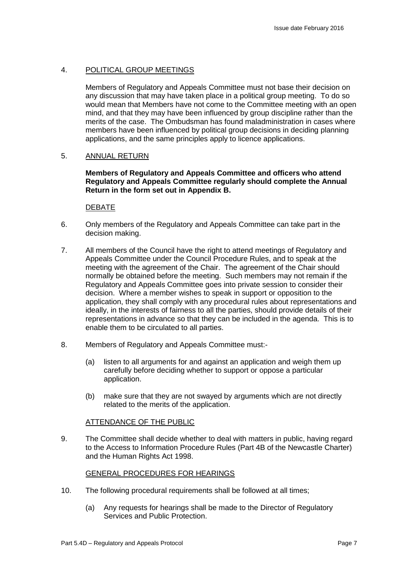#### 4. POLITICAL GROUP MEETINGS

Members of Regulatory and Appeals Committee must not base their decision on any discussion that may have taken place in a political group meeting. To do so would mean that Members have not come to the Committee meeting with an open mind, and that they may have been influenced by group discipline rather than the merits of the case. The Ombudsman has found maladministration in cases where members have been influenced by political group decisions in deciding planning applications, and the same principles apply to licence applications.

#### 5. ANNUAL RETURN

#### **Members of Regulatory and Appeals Committee and officers who attend Regulatory and Appeals Committee regularly should complete the Annual Return in the form set out in Appendix B.**

#### DEBATE

- 6. Only members of the Regulatory and Appeals Committee can take part in the decision making.
- 7. All members of the Council have the right to attend meetings of Regulatory and Appeals Committee under the Council Procedure Rules, and to speak at the meeting with the agreement of the Chair. The agreement of the Chair should normally be obtained before the meeting. Such members may not remain if the Regulatory and Appeals Committee goes into private session to consider their decision. Where a member wishes to speak in support or opposition to the application, they shall comply with any procedural rules about representations and ideally, in the interests of fairness to all the parties, should provide details of their representations in advance so that they can be included in the agenda. This is to enable them to be circulated to all parties.
- 8. Members of Regulatory and Appeals Committee must:-
	- (a) listen to all arguments for and against an application and weigh them up carefully before deciding whether to support or oppose a particular application.
	- (b) make sure that they are not swayed by arguments which are not directly related to the merits of the application.

#### ATTENDANCE OF THE PUBLIC

9. The Committee shall decide whether to deal with matters in public, having regard to the Access to Information Procedure Rules (Part 4B of the Newcastle Charter) and the Human Rights Act 1998.

#### GENERAL PROCEDURES FOR HEARINGS

- 10. The following procedural requirements shall be followed at all times;
	- (a) Any requests for hearings shall be made to the Director of Regulatory Services and Public Protection.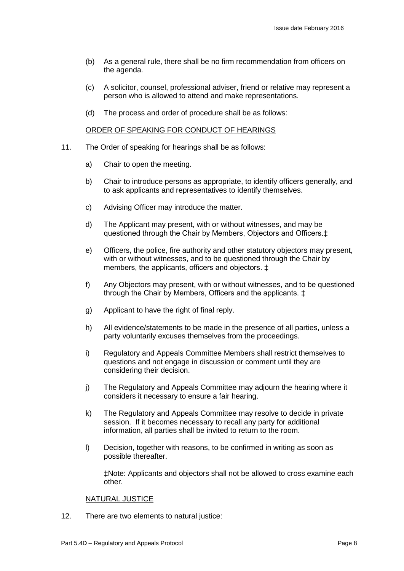- (b) As a general rule, there shall be no firm recommendation from officers on the agenda.
- (c) A solicitor, counsel, professional adviser, friend or relative may represent a person who is allowed to attend and make representations.
- (d) The process and order of procedure shall be as follows:

#### ORDER OF SPEAKING FOR CONDUCT OF HEARINGS

- 11. The Order of speaking for hearings shall be as follows:
	- a) Chair to open the meeting.
	- b) Chair to introduce persons as appropriate, to identify officers generally, and to ask applicants and representatives to identify themselves.
	- c) Advising Officer may introduce the matter.
	- d) The Applicant may present, with or without witnesses, and may be questioned through the Chair by Members, Objectors and Officers.‡
	- e) Officers, the police, fire authority and other statutory objectors may present, with or without witnesses, and to be questioned through the Chair by members, the applicants, officers and objectors. ‡
	- f) Any Objectors may present, with or without witnesses, and to be questioned through the Chair by Members, Officers and the applicants. ‡
	- g) Applicant to have the right of final reply.
	- h) All evidence/statements to be made in the presence of all parties, unless a party voluntarily excuses themselves from the proceedings.
	- i) Regulatory and Appeals Committee Members shall restrict themselves to questions and not engage in discussion or comment until they are considering their decision.
	- j) The Regulatory and Appeals Committee may adjourn the hearing where it considers it necessary to ensure a fair hearing.
	- k) The Regulatory and Appeals Committee may resolve to decide in private session. If it becomes necessary to recall any party for additional information, all parties shall be invited to return to the room.
	- l) Decision, together with reasons, to be confirmed in writing as soon as possible thereafter.

‡Note: Applicants and objectors shall not be allowed to cross examine each other.

#### NATURAL JUSTICE

12. There are two elements to natural justice: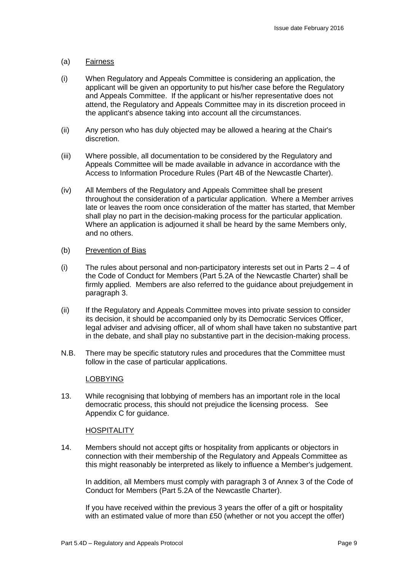#### (a) Fairness

- (i) When Regulatory and Appeals Committee is considering an application, the applicant will be given an opportunity to put his/her case before the Regulatory and Appeals Committee. If the applicant or his/her representative does not attend, the Regulatory and Appeals Committee may in its discretion proceed in the applicant's absence taking into account all the circumstances.
- (ii) Any person who has duly objected may be allowed a hearing at the Chair's discretion.
- (iii) Where possible, all documentation to be considered by the Regulatory and Appeals Committee will be made available in advance in accordance with the Access to Information Procedure Rules (Part 4B of the Newcastle Charter).
- (iv) All Members of the Regulatory and Appeals Committee shall be present throughout the consideration of a particular application. Where a Member arrives late or leaves the room once consideration of the matter has started, that Member shall play no part in the decision-making process for the particular application. Where an application is adjourned it shall be heard by the same Members only, and no others.

#### (b) Prevention of Bias

- (i) The rules about personal and non-participatory interests set out in Parts  $2 4$  of the Code of Conduct for Members (Part 5.2A of the Newcastle Charter) shall be firmly applied. Members are also referred to the guidance about prejudgement in paragraph 3.
- (ii) If the Regulatory and Appeals Committee moves into private session to consider its decision, it should be accompanied only by its Democratic Services Officer, legal adviser and advising officer, all of whom shall have taken no substantive part in the debate, and shall play no substantive part in the decision-making process.
- N.B. There may be specific statutory rules and procedures that the Committee must follow in the case of particular applications.

#### LOBBYING

13. While recognising that lobbying of members has an important role in the local democratic process, this should not prejudice the licensing process. See Appendix C for guidance.

#### **HOSPITALITY**

14. Members should not accept gifts or hospitality from applicants or objectors in connection with their membership of the Regulatory and Appeals Committee as this might reasonably be interpreted as likely to influence a Member's judgement.

In addition, all Members must comply with paragraph 3 of Annex 3 of the Code of Conduct for Members (Part 5.2A of the Newcastle Charter).

If you have received within the previous 3 years the offer of a gift or hospitality with an estimated value of more than £50 (whether or not you accept the offer)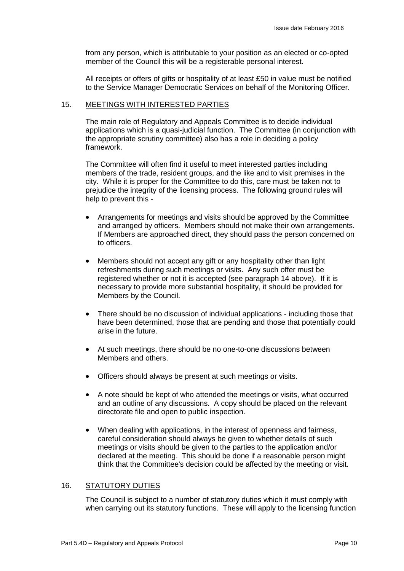from any person, which is attributable to your position as an elected or co-opted member of the Council this will be a registerable personal interest.

All receipts or offers of gifts or hospitality of at least £50 in value must be notified to the Service Manager Democratic Services on behalf of the Monitoring Officer.

#### 15. MEETINGS WITH INTERESTED PARTIES

The main role of Regulatory and Appeals Committee is to decide individual applications which is a quasi-judicial function. The Committee (in conjunction with the appropriate scrutiny committee) also has a role in deciding a policy framework.

The Committee will often find it useful to meet interested parties including members of the trade, resident groups, and the like and to visit premises in the city. While it is proper for the Committee to do this, care must be taken not to prejudice the integrity of the licensing process. The following ground rules will help to prevent this -

- Arrangements for meetings and visits should be approved by the Committee and arranged by officers. Members should not make their own arrangements. If Members are approached direct, they should pass the person concerned on to officers.
- Members should not accept any gift or any hospitality other than light refreshments during such meetings or visits. Any such offer must be registered whether or not it is accepted (see paragraph 14 above). If it is necessary to provide more substantial hospitality, it should be provided for Members by the Council.
- There should be no discussion of individual applications including those that have been determined, those that are pending and those that potentially could arise in the future.
- At such meetings, there should be no one-to-one discussions between Members and others.
- Officers should always be present at such meetings or visits.
- A note should be kept of who attended the meetings or visits, what occurred and an outline of any discussions. A copy should be placed on the relevant directorate file and open to public inspection.
- When dealing with applications, in the interest of openness and fairness, careful consideration should always be given to whether details of such meetings or visits should be given to the parties to the application and/or declared at the meeting. This should be done if a reasonable person might think that the Committee's decision could be affected by the meeting or visit.

#### 16. STATUTORY DUTIES

The Council is subject to a number of statutory duties which it must comply with when carrying out its statutory functions. These will apply to the licensing function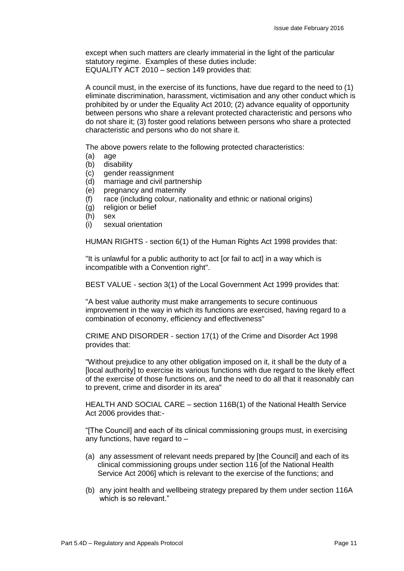except when such matters are clearly immaterial in the light of the particular statutory regime. Examples of these duties include: EQUALITY ACT 2010 – section 149 provides that:

A council must, in the exercise of its functions, have due regard to the need to (1) eliminate discrimination, harassment, victimisation and any other conduct which is prohibited by or under the Equality Act 2010; (2) advance equality of opportunity between persons who share a relevant protected characteristic and persons who do not share it; (3) foster good relations between persons who share a protected characteristic and persons who do not share it.

The above powers relate to the following protected characteristics:

- (a) age
- (b) disability
- (c) gender reassignment
- (d) marriage and civil partnership
- (e) pregnancy and maternity
- (f) race (including colour, nationality and ethnic or national origins)
- (g) religion or belief
- (h) sex
- (i) sexual orientation

HUMAN RIGHTS - section 6(1) of the Human Rights Act 1998 provides that:

"It is unlawful for a public authority to act [or fail to act] in a way which is incompatible with a Convention right".

BEST VALUE - section 3(1) of the Local Government Act 1999 provides that:

"A best value authority must make arrangements to secure continuous improvement in the way in which its functions are exercised, having regard to a combination of economy, efficiency and effectiveness"

CRIME AND DISORDER - section 17(1) of the Crime and Disorder Act 1998 provides that:

"Without prejudice to any other obligation imposed on it, it shall be the duty of a [local authority] to exercise its various functions with due regard to the likely effect of the exercise of those functions on, and the need to do all that it reasonably can to prevent, crime and disorder in its area"

HEALTH AND SOCIAL CARE – section 116B(1) of the National Health Service Act 2006 provides that:-

"[The Council] and each of its clinical commissioning groups must, in exercising any functions, have regard to –

- (a) any assessment of relevant needs prepared by [the Council] and each of its clinical commissioning groups under section 116 [of the National Health Service Act 2006] which is relevant to the exercise of the functions; and
- (b) any joint health and wellbeing strategy prepared by them under section 116A which is so relevant."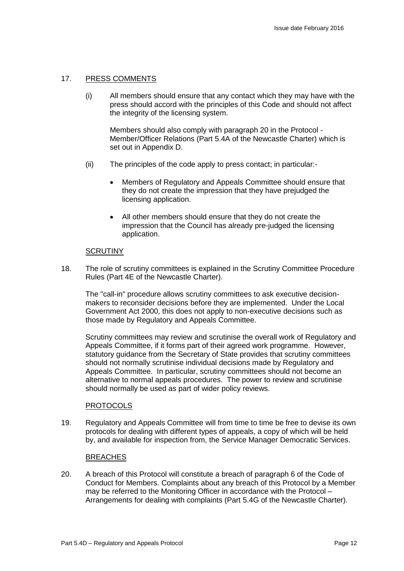#### 17. PRESS COMMENTS

(i) All members should ensure that any contact which they may have with the press should accord with the principles of this Code and should not affect the integrity of the licensing system.

Members should also comply with paragraph 20 in the Protocol - Member/Officer Relations (Part 5.4A of the Newcastle Charter) which is set out in Appendix D.

- (ii) The principles of the code apply to press contact; in particular:-
	- Members of Regulatory and Appeals Committee should ensure that they do not create the impression that they have prejudged the licensing application.
	- All other members should ensure that they do not create the impression that the Council has already pre-judged the licensing application.

#### **SCRUTINY**

18. The role of scrutiny committees is explained in the Scrutiny Committee Procedure Rules (Part 4E of the Newcastle Charter).

The "call-in" procedure allows scrutiny committees to ask executive decisionmakers to reconsider decisions before they are implemented. Under the Local Government Act 2000, this does not apply to non-executive decisions such as those made by Regulatory and Appeals Committee.

Scrutiny committees may review and scrutinise the overall work of Regulatory and Appeals Committee, if it forms part of their agreed work programme. However, statutory guidance from the Secretary of State provides that scrutiny committees should not normally scrutinise individual decisions made by Regulatory and Appeals Committee. In particular, scrutiny committees should not become an alternative to normal appeals procedures. The power to review and scrutinise should normally be used as part of wider policy reviews.

#### **PROTOCOLS**

19. Regulatory and Appeals Committee will from time to time be free to devise its own protocols for dealing with different types of appeals, a copy of which will be held by, and available for inspection from, the Service Manager Democratic Services.

#### **BREACHES**

20. A breach of this Protocol will constitute a breach of paragraph 6 of the Code of Conduct for Members. Complaints about any breach of this Protocol by a Member may be referred to the Monitoring Officer in accordance with the Protocol – Arrangements for dealing with complaints (Part 5.4G of the Newcastle Charter).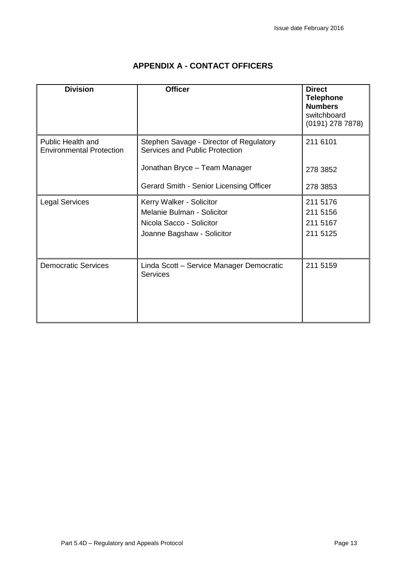| <b>Division</b>                                             | <b>Officer</b>                                                                                                   | <b>Direct</b><br><b>Telephone</b><br><b>Numbers</b><br>switchboard<br>$(0191)$ 278 7878) |
|-------------------------------------------------------------|------------------------------------------------------------------------------------------------------------------|------------------------------------------------------------------------------------------|
| <b>Public Health and</b><br><b>Environmental Protection</b> | Stephen Savage - Director of Regulatory<br>Services and Public Protection                                        | 211 6101                                                                                 |
|                                                             | Jonathan Bryce - Team Manager                                                                                    | 278 3852                                                                                 |
|                                                             | Gerard Smith - Senior Licensing Officer                                                                          | 278 3853                                                                                 |
| <b>Legal Services</b>                                       | Kerry Walker - Solicitor<br>Melanie Bulman - Solicitor<br>Nicola Sacco - Solicitor<br>Joanne Bagshaw - Solicitor | 211 5176<br>211 5156<br>211 5167<br>211 5125                                             |
| <b>Democratic Services</b>                                  | Linda Scott - Service Manager Democratic<br><b>Services</b>                                                      | 211 5159                                                                                 |

#### **APPENDIX A - CONTACT OFFICERS**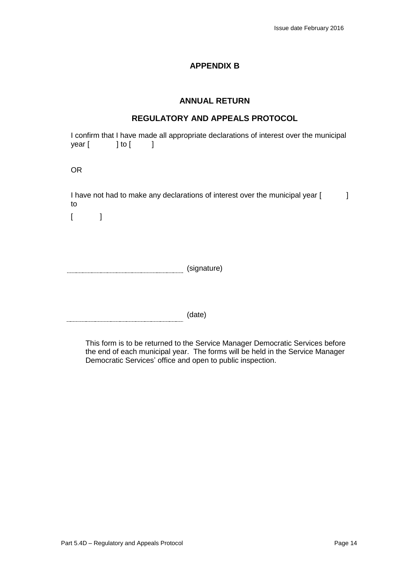#### **APPENDIX B**

#### **ANNUAL RETURN**

#### **REGULATORY AND APPEALS PROTOCOL**

I confirm that I have made all appropriate declarations of interest over the municipal year [ ] to [ ]

OR

I have not had to make any declarations of interest over the municipal year [100000000000000000000000000000000 to

 $\lceil$   $\lceil$   $\lceil$ 

**Manual Community (Signature)** (Signature)

(date)

This form is to be returned to the Service Manager Democratic Services before the end of each municipal year. The forms will be held in the Service Manager Democratic Services' office and open to public inspection.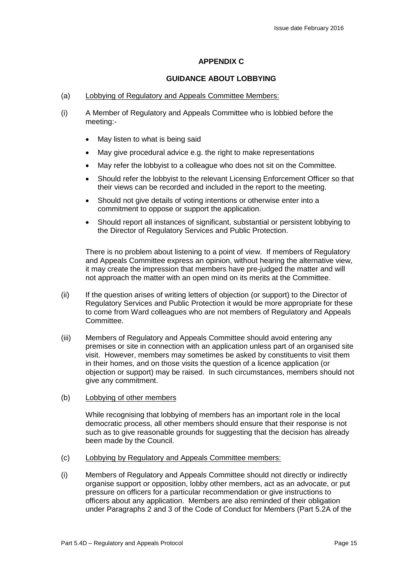#### **APPENDIX C**

#### **GUIDANCE ABOUT LOBBYING**

- (a) Lobbying of Regulatory and Appeals Committee Members:
- (i) A Member of Regulatory and Appeals Committee who is lobbied before the meeting:-
	- May listen to what is being said
	- May give procedural advice e.g. the right to make representations
	- May refer the lobbyist to a colleague who does not sit on the Committee.
	- Should refer the lobbyist to the relevant Licensing Enforcement Officer so that their views can be recorded and included in the report to the meeting.
	- Should not give details of voting intentions or otherwise enter into a commitment to oppose or support the application.
	- Should report all instances of significant, substantial or persistent lobbying to the Director of Regulatory Services and Public Protection.

There is no problem about listening to a point of view. If members of Regulatory and Appeals Committee express an opinion, without hearing the alternative view, it may create the impression that members have pre-judged the matter and will not approach the matter with an open mind on its merits at the Committee.

- (ii) If the question arises of writing letters of objection (or support) to the Director of Regulatory Services and Public Protection it would be more appropriate for these to come from Ward colleagues who are not members of Regulatory and Appeals Committee.
- (iii) Members of Regulatory and Appeals Committee should avoid entering any premises or site in connection with an application unless part of an organised site visit. However, members may sometimes be asked by constituents to visit them in their homes, and on those visits the question of a licence application (or objection or support) may be raised. In such circumstances, members should not give any commitment.
- (b) Lobbying of other members

While recognising that lobbying of members has an important role in the local democratic process, all other members should ensure that their response is not such as to give reasonable grounds for suggesting that the decision has already been made by the Council.

- (c) Lobbying by Regulatory and Appeals Committee members:
- (i) Members of Regulatory and Appeals Committee should not directly or indirectly organise support or opposition, lobby other members, act as an advocate, or put pressure on officers for a particular recommendation or give instructions to officers about any application. Members are also reminded of their obligation under Paragraphs 2 and 3 of the Code of Conduct for Members (Part 5.2A of the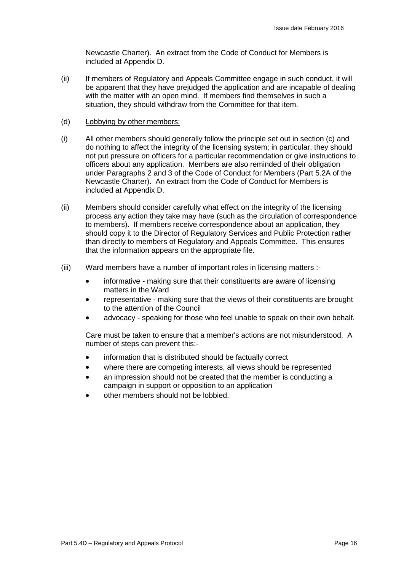Newcastle Charter). An extract from the Code of Conduct for Members is included at Appendix D.

- (ii) If members of Regulatory and Appeals Committee engage in such conduct, it will be apparent that they have prejudged the application and are incapable of dealing with the matter with an open mind. If members find themselves in such a situation, they should withdraw from the Committee for that item.
- (d) Lobbying by other members:
- (i) All other members should generally follow the principle set out in section (c) and do nothing to affect the integrity of the licensing system; in particular, they should not put pressure on officers for a particular recommendation or give instructions to officers about any application. Members are also reminded of their obligation under Paragraphs 2 and 3 of the Code of Conduct for Members (Part 5.2A of the Newcastle Charter). An extract from the Code of Conduct for Members is included at Appendix D.
- (ii) Members should consider carefully what effect on the integrity of the licensing process any action they take may have (such as the circulation of correspondence to members). If members receive correspondence about an application, they should copy it to the Director of Regulatory Services and Public Protection rather than directly to members of Regulatory and Appeals Committee. This ensures that the information appears on the appropriate file.
- (iii) Ward members have a number of important roles in licensing matters :
	- informative making sure that their constituents are aware of licensing matters in the Ward
	- representative making sure that the views of their constituents are brought to the attention of the Council
	- advocacy speaking for those who feel unable to speak on their own behalf.

Care must be taken to ensure that a member's actions are not misunderstood. A number of steps can prevent this:-

- information that is distributed should be factually correct
- where there are competing interests, all views should be represented
- an impression should not be created that the member is conducting a campaign in support or opposition to an application
- other members should not be lobbied.